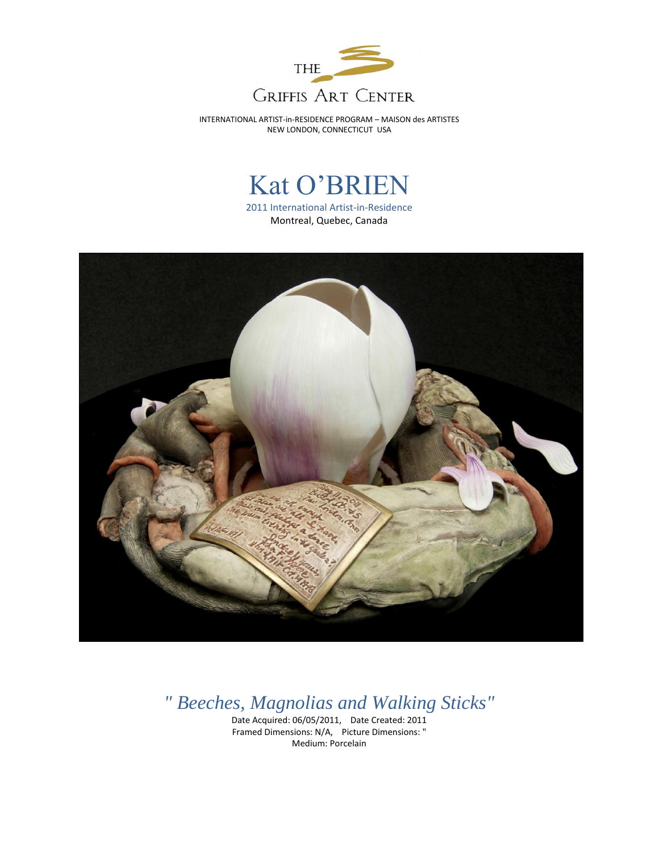

INTERNATIONAL ARTIST-in-RESIDENCE PROGRAM – MAISON des ARTISTES NEW LONDON, CONNECTICUT USA

## Kat O'BRIEN

2011 International Artist-in-Residence Montreal, Quebec, Canada



*" Beeches, Magnolias and Walking Sticks"*

Date Acquired: 06/05/2011, Date Created: 2011 Framed Dimensions: N/A, Picture Dimensions: " Medium: Porcelain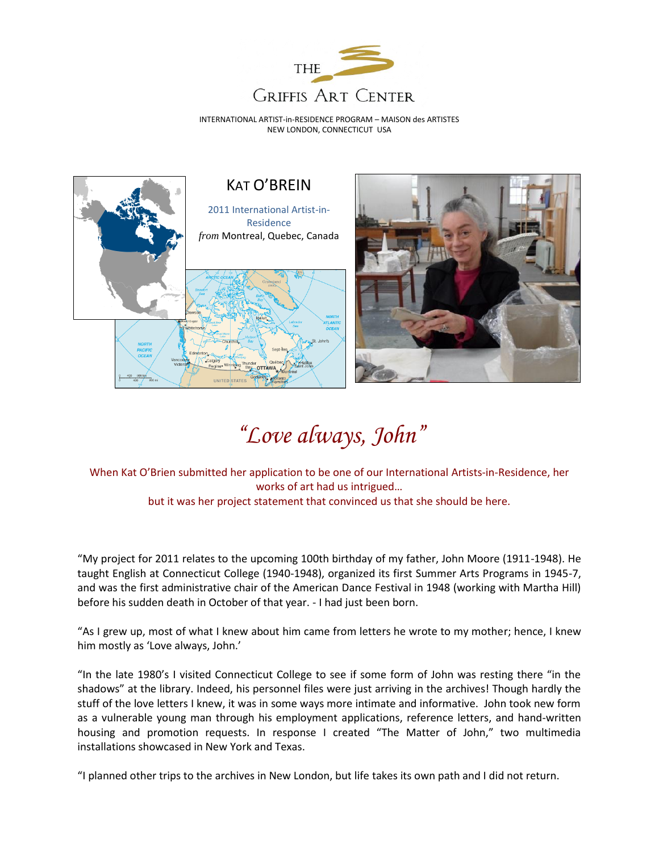

INTERNATIONAL ARTIST-in-RESIDENCE PROGRAM – MAISON des ARTISTES NEW LONDON, CONNECTICUT USA



## *"Love always, John"*

When Kat O'Brien submitted her application to be one of our International Artists-in-Residence, her works of art had us intrigued… but it was her project statement that convinced us that she should be here.

"My project for 2011 relates to the upcoming 100th birthday of my father, John Moore (1911-1948). He taught English at Connecticut College (1940-1948), organized its first Summer Arts Programs in 1945-7, and was the first administrative chair of the American Dance Festival in 1948 (working with Martha Hill) before his sudden death in October of that year. - I had just been born.

"As I grew up, most of what I knew about him came from letters he wrote to my mother; hence, I knew him mostly as 'Love always, John.'

"In the late 1980's I visited Connecticut College to see if some form of John was resting there "in the shadows" at the library. Indeed, his personnel files were just arriving in the archives! Though hardly the stuff of the love letters I knew, it was in some ways more intimate and informative. John took new form as a vulnerable young man through his employment applications, reference letters, and hand-written housing and promotion requests. In response I created "The Matter of John," two multimedia installations showcased in New York and Texas.

"I planned other trips to the archives in New London, but life takes its own path and I did not return.